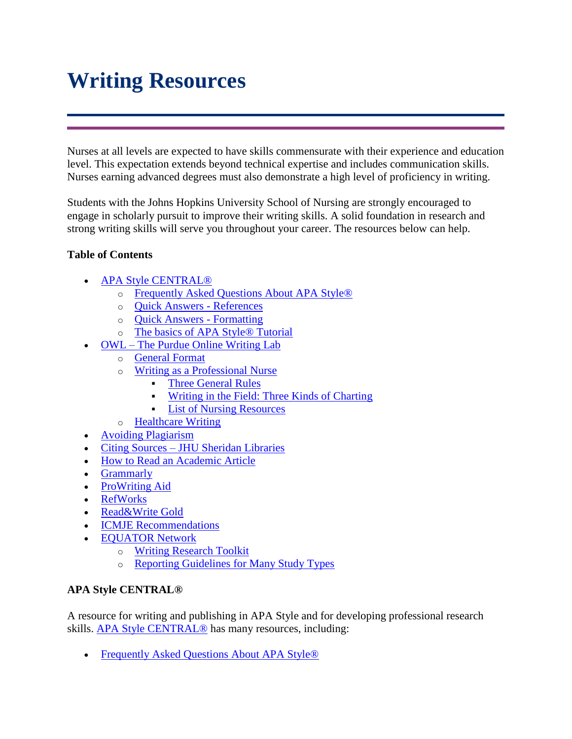# **Writing Resources**

Nurses at all levels are expected to have skills commensurate with their experience and education level. This expectation extends beyond technical expertise and includes communication skills. Nurses earning advanced degrees must also demonstrate a high level of proficiency in writing.

Students with the Johns Hopkins University School of Nursing are strongly encouraged to engage in scholarly pursuit to improve their writing skills. A solid foundation in research and strong writing skills will serve you throughout your career. The resources below can help.

# **Table of Contents**

- [APA Style CENTRAL®](https://blackboard.jhu.edu/bbcswebdav/institution/NR/NR_Standard_Documents/Writing%20Resources/SON_Writing_Resources.html#apastylecentral) 
	- o [Frequently Asked Questions About APA Style®](https://blackboard.jhu.edu/bbcswebdav/institution/NR/NR_Standard_Documents/Writing%20Resources/SON_Writing_Resources.html#faqapastyle)
	- o [Quick Answers -](https://blackboard.jhu.edu/bbcswebdav/institution/NR/NR_Standard_Documents/Writing%20Resources/SON_Writing_Resources.html#quickanswersref) References
	- o [Quick Answers -](https://blackboard.jhu.edu/bbcswebdav/institution/NR/NR_Standard_Documents/Writing%20Resources/SON_Writing_Resources.html#quickanswersfor) Formatting
	- o [The basics of APA Style® Tutorial](https://blackboard.jhu.edu/bbcswebdav/institution/NR/NR_Standard_Documents/Writing%20Resources/SON_Writing_Resources.html#basicsofapastyletutorial)
- OWL [The Purdue Online Writing Lab](https://blackboard.jhu.edu/bbcswebdav/institution/NR/NR_Standard_Documents/Writing%20Resources/SON_Writing_Resources.html#owl)
	- o [General Format](https://blackboard.jhu.edu/bbcswebdav/institution/NR/NR_Standard_Documents/Writing%20Resources/SON_Writing_Resources.html#owlgeneralformat)
	- o [Writing as a Professional Nurse](https://blackboard.jhu.edu/bbcswebdav/institution/NR/NR_Standard_Documents/Writing%20Resources/SON_Writing_Resources.html#owlwritingasaprofnurse)
		- **[Three General Rules](https://blackboard.jhu.edu/bbcswebdav/institution/NR/NR_Standard_Documents/Writing%20Resources/SON_Writing_Resources.html#owlthreegenrules)**
		- [Writing in the Field: Three Kinds of Charting](https://blackboard.jhu.edu/bbcswebdav/institution/NR/NR_Standard_Documents/Writing%20Resources/SON_Writing_Resources.html#owlwritinginthefield)
		- [List of Nursing Resources](https://blackboard.jhu.edu/bbcswebdav/institution/NR/NR_Standard_Documents/Writing%20Resources/SON_Writing_Resources.html#owllistofnursingresources)
	- o [Healthcare Writing](https://blackboard.jhu.edu/bbcswebdav/institution/NR/NR_Standard_Documents/Writing%20Resources/SON_Writing_Resources.html#owlhealthcarewriting)
- [Avoiding Plagiarism](https://blackboard.jhu.edu/bbcswebdav/institution/NR/NR_Standard_Documents/Writing%20Resources/SON_Writing_Resources.html#avoidingplagiarism)
- Citing Sources [JHU Sheridan Libraries](https://blackboard.jhu.edu/bbcswebdav/institution/NR/NR_Standard_Documents/Writing%20Resources/SON_Writing_Resources.html#citingsources)
- [How to Read an Academic Article](https://blackboard.jhu.edu/bbcswebdav/institution/NR/NR_Standard_Documents/Writing%20Resources/SON_Writing_Resources.html#howtoreadanacadarticle)
- [Grammarly](https://blackboard.jhu.edu/bbcswebdav/institution/NR/NR_Standard_Documents/Writing%20Resources/SON_Writing_Resources.html#grammarly)
- [ProWriting Aid](https://blackboard.jhu.edu/bbcswebdav/institution/NR/NR_Standard_Documents/Writing%20Resources/SON_Writing_Resources.html#prowritingaid)
- [RefWorks](https://blackboard.jhu.edu/bbcswebdav/institution/NR/NR_Standard_Documents/Writing%20Resources/SON_Writing_Resources.html#refworks)
- [Read&Write Gold](https://blackboard.jhu.edu/bbcswebdav/institution/NR/NR_Standard_Documents/Writing%20Resources/SON_Writing_Resources.html#readwritegold)
- [ICMJE Recommendations](https://blackboard.jhu.edu/bbcswebdav/institution/NR/NR_Standard_Documents/Writing%20Resources/SON_Writing_Resources.html#ICMJERecs)
- [EQUATOR Network](https://blackboard.jhu.edu/bbcswebdav/institution/NR/NR_Standard_Documents/Writing%20Resources/SON_Writing_Resources.html#equatornetworks)
	- o [Writing Research Toolkit](https://blackboard.jhu.edu/bbcswebdav/institution/NR/NR_Standard_Documents/Writing%20Resources/SON_Writing_Resources.html#equatorresearchtoolkit)
	- o [Reporting Guidelines for Many Study Types](https://blackboard.jhu.edu/bbcswebdav/institution/NR/NR_Standard_Documents/Writing%20Resources/SON_Writing_Resources.html#equatorguidelinesstudytypes)

#### **APA Style CENTRAL®**

A resource for writing and publishing in APA Style and for developing professional research skills. [APA Style CENTRAL®](http://www.apastyle.org/) has many resources, including:

• [Frequently Asked Questions About APA Style®](http://www.apastyle.org/learn/faqs/index.aspx)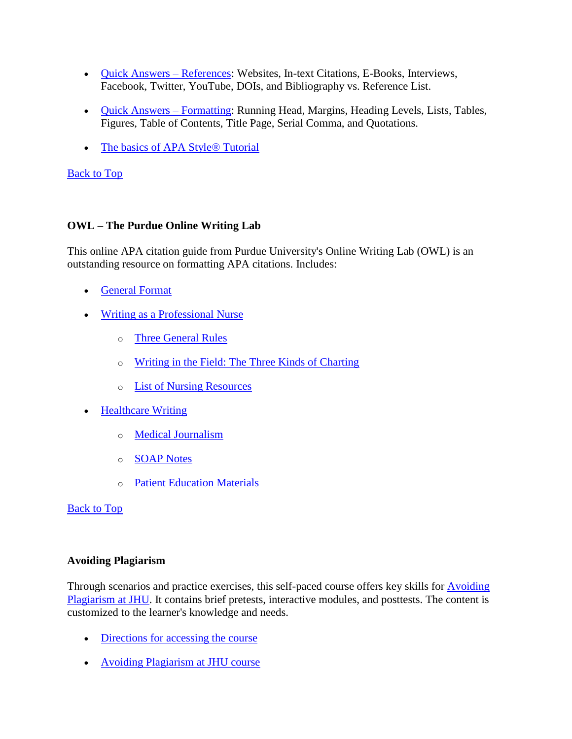- [Quick Answers –](http://www.apastyle.org/learn/quick-guide-on-references.aspx) References: Websites, In-text Citations, E-Books, Interviews, Facebook, Twitter, YouTube, DOIs, and Bibliography vs. Reference List.
- [Quick Answers –](http://www.apastyle.org/learn/quick-guide-on-formatting.aspx) Formatting: Running Head, Margins, Heading Levels, Lists, Tables, Figures, Table of Contents, Title Page, Serial Comma, and Quotations.
- [The basics of APA Style® Tutorial](http://www.apastyle.org/learn/tutorials/basics-tutorial.aspx)

# [Back to Top](https://blackboard.jhu.edu/bbcswebdav/institution/NR/NR_Standard_Documents/Writing%20Resources/SON_Writing_Resources.html#top)

# **OWL – The Purdue Online Writing Lab**

This online APA citation guide from Purdue University's Online Writing Lab (OWL) is an outstanding resource on formatting APA citations. Includes:

- [General Format](https://owl.english.purdue.edu/owl/resource/560/01/)
- [Writing as a Professional Nurse](https://owl.english.purdue.edu/owl/resource/1012/1/)
	- o [Three General Rules](https://owl.english.purdue.edu/owl/resource/1012/01/)
	- o [Writing in the Field: The Three Kinds of Charting](https://owl.english.purdue.edu/owl/resource/1012/02/)
	- o [List of Nursing Resources](https://owl.english.purdue.edu/owl/resource/1012/03/)
- [Healthcare Writing](https://owl.english.purdue.edu/owl/section/4/27/)
	- o [Medical Journalism](https://owl.english.purdue.edu/owl/resource/732/01/)
	- o [SOAP Notes](https://owl.english.purdue.edu/owl/resource/1003/1/)
	- o [Patient Education Materials](https://owl.english.purdue.edu/owl/resource/1008/1/)

[Back to Top](https://blackboard.jhu.edu/bbcswebdav/institution/NR/NR_Standard_Documents/Writing%20Resources/SON_Writing_Resources.html#top)

# **Avoiding Plagiarism**

Through scenarios and practice exercises, this self-paced course offers key skills for [Avoiding](http://lms14.learnshare.com/l.aspx?CID=89&A=2&T=556942)  [Plagiarism at JHU.](http://lms14.learnshare.com/l.aspx?CID=89&A=2&T=556942) It contains brief pretests, interactive modules, and posttests. The content is customized to the learner's knowledge and needs.

- [Directions for accessing the course](https://docs.google.com/document/d/1O_bCxNgQkN6ZCQJpRUQsk0VzDl6fDVnK54C8jjUG2IU/edit)
- [Avoiding Plagiarism at JHU course](http://lms14.learnshare.com/l.aspx?CID=89&A=2&T=556942)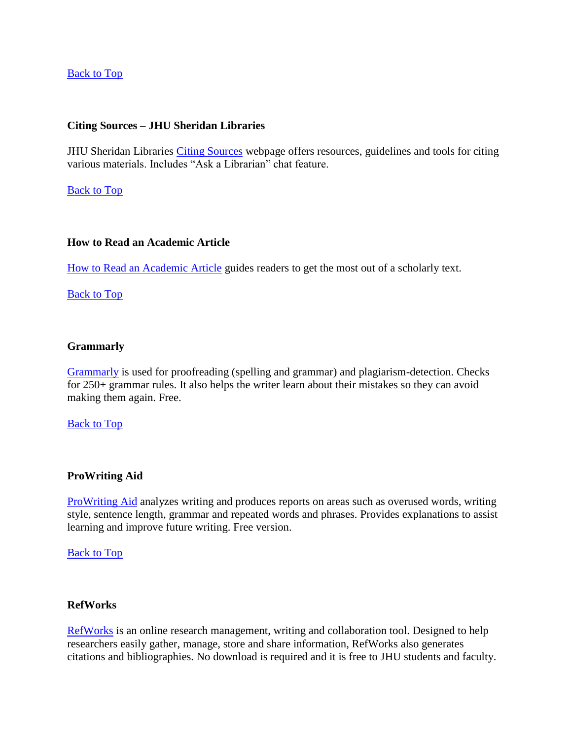## [Back to Top](https://blackboard.jhu.edu/bbcswebdav/institution/NR/NR_Standard_Documents/Writing%20Resources/SON_Writing_Resources.html#top)

#### **Citing Sources – JHU Sheridan Libraries**

JHU Sheridan Libraries [Citing Sources](http://guides.library.jhu.edu/c.php?g=202470&p=1335071) webpage offers resources, guidelines and tools for citing various materials. Includes "Ask a Librarian" chat feature.

[Back to Top](https://blackboard.jhu.edu/bbcswebdav/institution/NR/NR_Standard_Documents/Writing%20Resources/SON_Writing_Resources.html#top)

### **How to Read an Academic Article**

[How to Read an Academic Article](http://faculty.washington.edu/davidgs/ReadArticle.html) guides readers to get the most out of a scholarly text.

[Back to Top](https://blackboard.jhu.edu/bbcswebdav/institution/NR/NR_Standard_Documents/Writing%20Resources/SON_Writing_Resources.html#top)

#### **Grammarly**

[Grammarly](https://www.grammarly.com/) is used for proofreading (spelling and grammar) and plagiarism-detection. Checks for 250+ grammar rules. It also helps the writer learn about their mistakes so they can avoid making them again. Free.

[Back to Top](https://blackboard.jhu.edu/bbcswebdav/institution/NR/NR_Standard_Documents/Writing%20Resources/SON_Writing_Resources.html#top)

#### **ProWriting Aid**

[ProWriting Aid](https://prowritingaid.com/) analyzes writing and produces reports on areas such as overused words, writing style, sentence length, grammar and repeated words and phrases. Provides explanations to assist learning and improve future writing. Free version.

[Back to Top](https://blackboard.jhu.edu/bbcswebdav/institution/NR/NR_Standard_Documents/Writing%20Resources/SON_Writing_Resources.html#top)

#### **RefWorks**

[RefWorks](http://guides.library.jhu.edu/refworks) is an online research management, writing and collaboration tool. Designed to help researchers easily gather, manage, store and share information, RefWorks also generates citations and bibliographies. No download is required and it is free to JHU students and faculty.